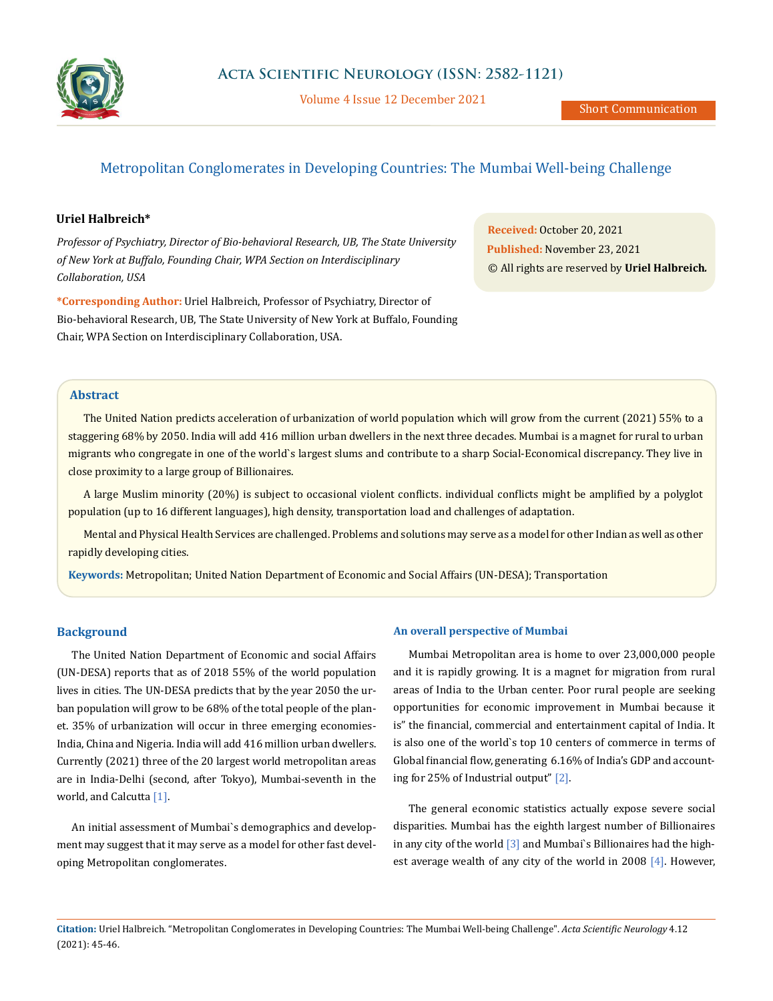

Volume 4 Issue 12 December 2021

# Metropolitan Conglomerates in Developing Countries: The Mumbai Well-being Challenge

## **Uriel Halbreich\***

*Professor of Psychiatry, Director of Bio-behavioral Research, UB, The State University of New York at Buffalo, Founding Chair, WPA Section on Interdisciplinary Collaboration, USA*

**\*Corresponding Author:** Uriel Halbreich, Professor of Psychiatry, Director of Bio-behavioral Research, UB, The State University of New York at Buffalo, Founding Chair, WPA Section on Interdisciplinary Collaboration, USA.

**Received:** October 20, 2021 **Published:** November 23, 2021 © All rights are reserved by **Uriel Halbreich***.*

## **Abstract**

The United Nation predicts acceleration of urbanization of world population which will grow from the current (2021) 55% to a staggering 68% by 2050. India will add 416 million urban dwellers in the next three decades. Mumbai is a magnet for rural to urban migrants who congregate in one of the world`s largest slums and contribute to a sharp Social-Economical discrepancy. They live in close proximity to a large group of Billionaires.

A large Muslim minority (20%) is subject to occasional violent conflicts. individual conflicts might be amplified by a polyglot population (up to 16 different languages), high density, transportation load and challenges of adaptation.

Mental and Physical Health Services are challenged. Problems and solutions may serve as a model for other Indian as well as other rapidly developing cities.

**Keywords:** Metropolitan; United Nation Department of Economic and Social Affairs (UN-DESA); Transportation

## **Background**

The United Nation Department of Economic and social Affairs (UN-DESA) reports that as of 2018 55% of the world population lives in cities. The UN-DESA predicts that by the year 2050 the urban population will grow to be 68% of the total people of the planet. 35% of urbanization will occur in three emerging economies-India, China and Nigeria. India will add 416 million urban dwellers. Currently (2021) three of the 20 largest world metropolitan areas are in India-Delhi (second, after Tokyo), Mumbai-seventh in the world, and Calcutta [1].

An initial assessment of Mumbai`s demographics and development may suggest that it may serve as a model for other fast developing Metropolitan conglomerates.

#### **An overall perspective of Mumbai**

Mumbai Metropolitan area is home to over 23,000,000 people and it is rapidly growing. It is a magnet for migration from rural areas of India to the Urban center. Poor rural people are seeking opportunities for economic improvement in Mumbai because it is" the financial, commercial and entertainment capital of India. It is also one of the world`s top 10 centers of commerce in terms of Global financial flow, generating 6.16% of India's GDP and accounting for 25% of Industrial output" [2].

The general economic statistics actually expose severe social disparities. Mumbai has the eighth largest number of Billionaires in any city of the world  $\sqrt{3}$  and Mumbai's Billionaires had the highest average wealth of any city of the world in 2008 [4]. However,

**Citation:** Uriel Halbreich*.* "Metropolitan Conglomerates in Developing Countries: The Mumbai Well-being Challenge". *Acta Scientific Neurology* 4.12 (2021): 45-46.